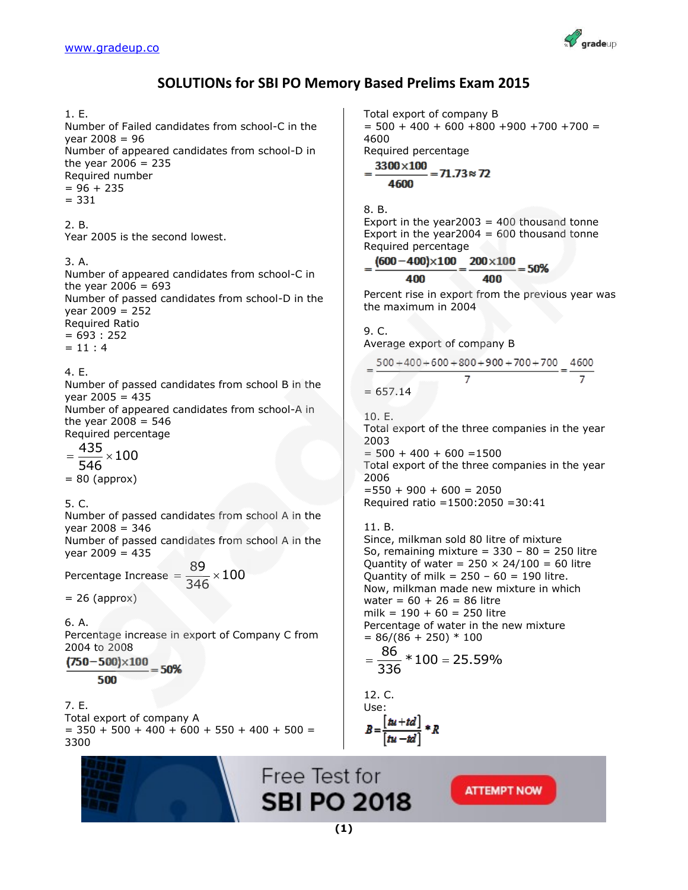

# **SOLUTIONs for SBI PO Memory Based Prelims Exam 2015**

### 1. E.

Number of Failed candidates from school-C in the year 2008 = 96 Number of appeared candidates from school-D in the year  $2006 = 235$ Required number  $= 96 + 235$  $= 331$ 

2. B. Year 2005 is the second lowest.

#### 3. A.

Number of appeared candidates from school-C in the year  $2006 = 693$ Number of passed candidates from school-D in the  $year 2009 = 252$ Required Ratio  $= 693 : 252$  $= 11 : 4$ 

4. E.

Number of passed candidates from school B in the  $year 2005 = 435$ Number of appeared candidates from school-A in the year  $2008 = 546$ Required percentage

 $\frac{435}{212} \times 100$ 546  $=\frac{1}{\pi}$   $\times$  :  $= 80$  (approx)

5. C.

Number of passed candidates from school A in the  $vear 2008 = 346$ 

Number of passed candidates from school A in the  $vear 2009 = 435$ 

Percentage Increase  $=$   $\frac{89}{345} \times 100$ 346  $=\frac{0}{245} \times$ 

 $= 26$  (approx)

6. A. Percentage increase in export of Company C from 2004 to 2008

 $(750 - 500) \times 100$  $= 50%$ 500

7. E. Total export of company A  $=$  350 + 500 + 400 + 600 + 550 + 400 + 500 = 3300



Total export of company B  $= 500 + 400 + 600 + 800 + 900 + 700 + 700 =$ 4600

Required percentage 2200-400

$$
=\frac{3300\times100}{4600}=71.73\approx72
$$

#### 8. B.

Export in the year  $2003 = 400$  thousand tonne Export in the year  $2004 = 600$  thousand tonne Required percentage

$$
=\frac{(600-400)\times100}{400}=\frac{200\times100}{400}=50\%
$$

Percent rise in export from the previous year was the maximum in 2004

9. C. Average export of company B

$$
= \frac{500 + 400 + 600 + 800 + 900 + 700 + 700}{7} = \frac{4600}{7}
$$

$$
657.14
$$

10. E.

 $=$ 

Total export of the three companies in the year 2003

 $= 500 + 400 + 600 = 1500$ Total export of the three companies in the year 2006  $=550 + 900 + 600 = 2050$ Required ratio =1500:2050 =30:41

## 11. B.

Since, milkman sold 80 litre of mixture So, remaining mixture =  $330 - 80 = 250$  litre Quantity of water =  $250 \times 24/100 = 60$  litre Quantity of milk =  $250 - 60 = 190$  litre. Now, milkman made new mixture in which  $water = 60 + 26 = 86$  litre  $milk = 190 + 60 = 250$  litre Percentage of water in the new mixture  $= 86/(86 + 250) * 100$ 

$$
=\frac{86}{336}*100=25.59\%
$$

12. C.  
Use:  

$$
B = \frac{[\hbar u + td]}{[\hbar u - td]} * R
$$

**ATTEMPT NOW** 

**SBI PO 2018** 

Free Test for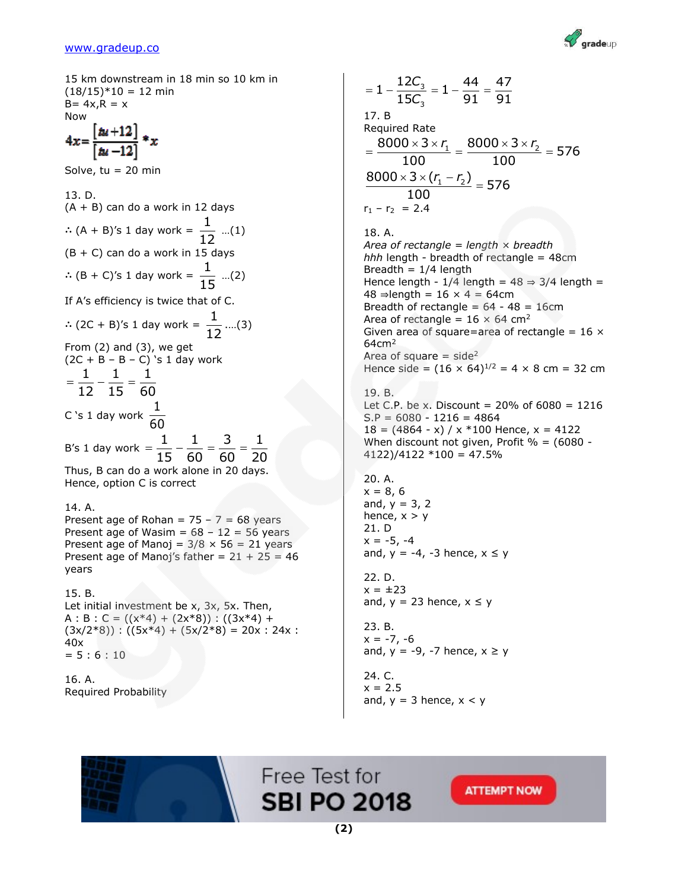

15 km downstream in 18 min so 10 km in  $(18/15)*10 = 12$  min  $B = 4x, R = x$ Now  $4x = \frac{[tu+12]}{[tu-12]} * x$ Solve,  $tu = 20$  min 13. D. (A + B) can do a work in 12 days ∴ (A + B)'s 1 day work =  $\frac{1}{15}$  $\frac{1}{12}$  ...(1)  $(B + C)$  can do a work in 15 days ∴ (B + C)'s 1 day work =  $\frac{1}{15}$  $\frac{1}{15}$  ...(2) If A's efficiency is twice that of C. ∴ (2C + B)'s 1 day work =  $\frac{1}{15}$  $\frac{1}{12}$  ....(3) From (2) and (3), we get  $(2C + B - B - C)$ 's 1 day work 1 1 1  $=\frac{1}{10} - \frac{1}{10} =$  $12 \t15 \t60$ C 's 1 day work  $\frac{1}{\sqrt{2}}$ 60 B's 1 day work =  $\frac{1}{1} - \frac{1}{2} = \frac{3}{1} = \frac{1}{2}$  $=\frac{1}{15}-\frac{1}{60}=\frac{3}{60}=\frac{1}{2}$  $\overline{15} - \overline{60} = \overline{60} = \overline{20}$ Thus, B can do a work alone in 20 days. Hence, option C is correct 14. A. Present age of Rohan =  $75 - 7 = 68$  years Present age of Wasim =  $68 - 12 = 56$  years Present age of Manoj =  $3/8 \times 56 = 21$  years Present age of Manoj's father =  $21 + 25 = 46$ years 15. B. Let initial investment be x, 3x, 5x. Then, A : B : C =  $((x*4) + (2x*8))$  :  $((3x*4) +$  $(3x/2*8))$  :  $((5x*4) + (5x/2*8) = 20x : 24x$  : 40x

16. A. Required Probability

 $= 5 : 6 : 10$ 

$$
= 1 - \frac{12C_3}{15C_3} = 1 - \frac{44}{91} = \frac{47}{91}
$$
  
17. B  
Required Rate  

$$
= \frac{8000 \times 3 \times r_1}{100} = \frac{8000 \times 3 \times r_2}{100} = 576
$$
  

$$
\frac{8000 \times 3 \times (r_1 - r_2)}{100} = 576
$$
  
100  

$$
r_1 - r_2 = 2.4
$$
  
18. A.  
Area of rectangle = length × breadth  
hhh length - breadth of rectangle = 48cm  
Breadth = 1/4 length  
Hence length - 1/4 length = 48 ⇒ 3/4 length =  
48 ⇒ length = 16 × 4 = 64cm  
Breadth of rectangle = 64 - 48 = 16cm  
Area of rectangle = 16 × 64 cm<sup>2</sup>  
Given area of square = area of rectangle = 16 ×  
64cm<sup>2</sup>  
Area of square = side<sup>2</sup>  
Hence side = (16 × 64)<sup>1/2</sup> = 4 × 8 cm = 32 cm  
19. B.

Let C.P. be x. Discount =  $20\%$  of  $6080 = 1216$  $S.P = 6080 - 1216 = 4864$  $18 = (4864 - x) / x * 100$  Hence,  $x = 4122$ When discount not given, Profit  $% = (6080 -$ 4122)/4122 \*100 = 47.5%

20. A.  $x = 8, 6$ and,  $y = 3, 2$ hence,  $x > y$ 21. D  $x = -5, -4$ and,  $y = -4$ ,  $-3$  hence,  $x \le y$ 

22. D.  $x = \pm 23$ and,  $y = 23$  hence,  $x \le y$ 

23. B.  $x = -7, -6$ and,  $y = -9$ ,  $-7$  hence,  $x \ge y$ 

24. C.  $x = 2.5$ and,  $y = 3$  hence,  $x < y$ 



Free Test for **SBI PO 2018**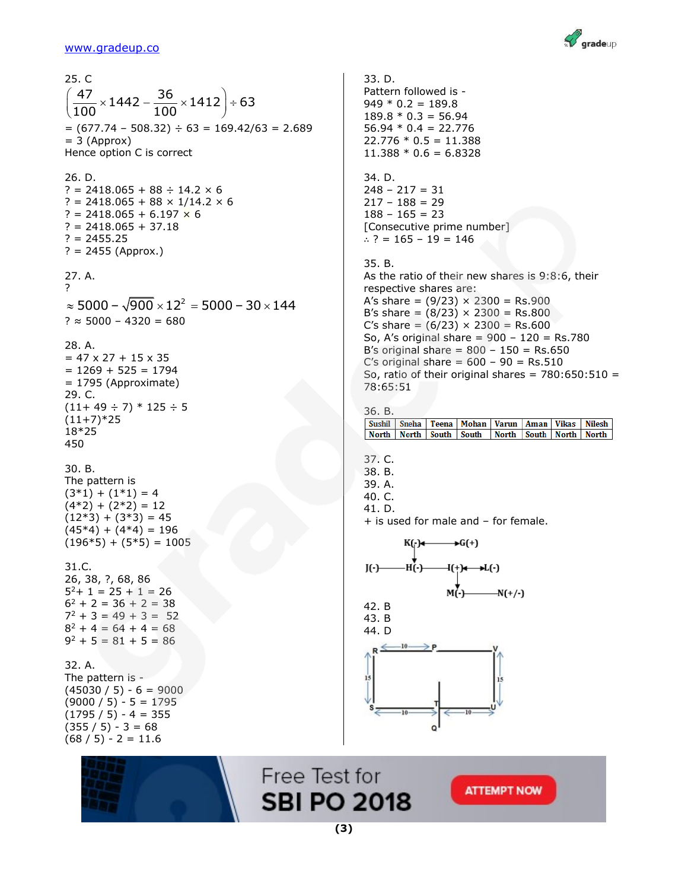

25. C . c<br> $\frac{47}{100}$  × 1442 –  $\frac{36}{100}$  × 1412 = 63  $\frac{47}{100}$  × 1442 –  $\frac{36}{100}$ 25. C<br> $\left(\frac{47}{100}\times 1442 - \frac{36}{100}\times 1412\right) \div 63$  $=(677.74 - 508.32) \div 63 = 169.42/63 = 2.689$  $= 3$  (Approx) Hence option C is correct 26. D. ? = 2418.065 + 88  $\div$  14.2  $\times$  6 ? = 2418.065 + 88  $\times$  1/14.2  $\times$  6 ? = 2418.065 + 6.197  $\times$  6  $? = 2418.065 + 37.18$ ? = 2455.25  $? = 2455$  (Approx.) 27. A. ? 2 ?<br>≈ 5000 – √900 × 12² = 5000 – 30 × 144  $? \approx 5000 - 4320 = 680$ 28. A.  $= 47 \times 27 + 15 \times 35$  $= 1269 + 525 = 1794$ = 1795 (Approximate) 29. C.  $(11+49 \div 7) * 125 \div 5$  $(11+7)*25$ 18\*25 450 30. B. The pattern is  $(3*1) + (1*1) = 4$  $(4*2) + (2*2) = 12$  $(12*3) + (3*3) = 45$  $(45*4) + (4*4) = 196$  $(196*5) + (5*5) = 1005$ 31.C. 26, 38, ?, 68, 86  $5^2$  + 1 = 25 + 1 = 26  $6^2 + 2 = 36 + 2 = 38$  $7^2 + 3 = 49 + 3 = 52$  $8^2 + 4 = 64 + 4 = 68$  $9^2 + 5 = 81 + 5 = 86$ 32. A. The pattern is -  $(45030 / 5) - 6 = 9000$  $(9000 / 5) - 5 = 1795$  $(1795 / 5) - 4 = 355$  $(355 / 5) - 3 = 68$  $(68 / 5) - 2 = 11.6$ 



33. D. Pattern followed is -  $949 * 0.2 = 189.8$  $189.8 * 0.3 = 56.94$  $56.94 * 0.4 = 22.776$  $22.776 * 0.5 = 11.388$  $11.388 * 0.6 = 6.8328$ 34. D.  $248 - 217 = 31$  $217 - 188 = 29$  $188 - 165 = 23$ [Consecutive prime number] ∴ ? = 165 – 19 = 146 35. B. As the ratio of their new shares is 9:8:6, their respective shares are: A's share =  $(9/23) \times 2300 =$  Rs.900 B's share =  $(8/23) \times 2300 =$  Rs.800 C's share =  $(6/23) \times 2300 =$  Rs.600 So, A's original share = 900 – 120 = Rs.780 B's original share =  $800 - 150 = Rs.650$ C's original share  $= 600 - 90 = Rs.510$ So, ratio of their original shares =  $780:650:510 =$ 78:65:51 36. B. Sushil Sneha Teena Mohan Varun Aman Vikas Nilesh North North South South North South North North 37. C. 38. B. 39. A. 40. C. 41. D. + is used for male and – for female. KO-1  $\bigstar G(+)$ .ห٬้-า  $I(-)$ Ií+)∉ —>L(-) M(-)- $-N(+/-)$ 42. B 43. B



Free Test for **SBI PO 2018**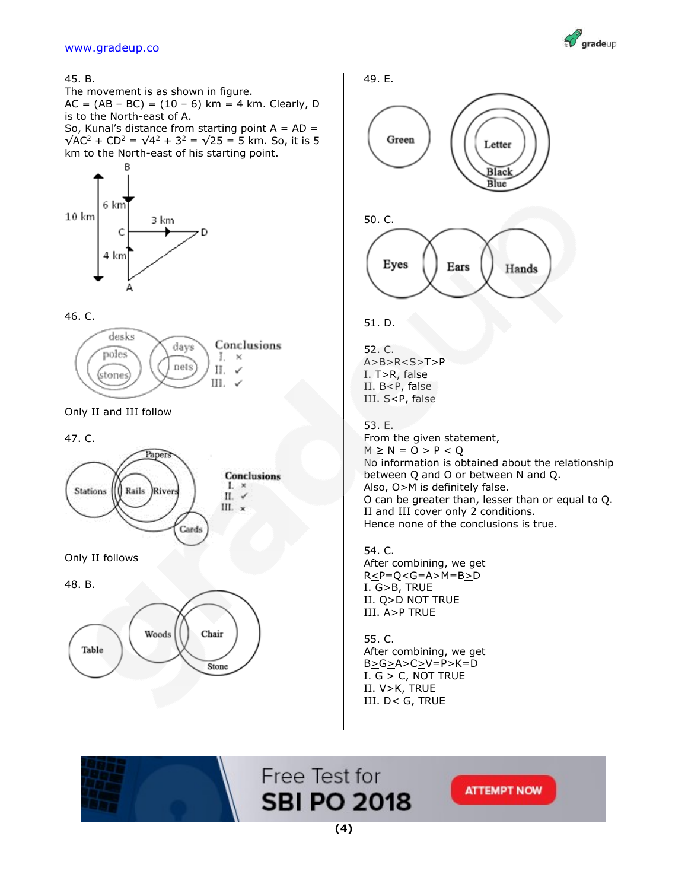

45. B.

The movement is as shown in figure.  $AC = (AB - BC) = (10 - 6)$  km = 4 km. Clearly, D is to the North-east of A.

So, Kunal's distance from starting point  $A = AD =$  $\sqrt{AC^2 + CD^2} = \sqrt{4^2 + 3^2} = \sqrt{25} = 5$  km. So, it is 5 km to the North-east of his starting point.



46. C.



Only II and III follow

47. C.



Only II follows

48. B.





51. D.

52. C. A>B>R<S>T>P I. T>R, false II. B<P, false III. S<P, false

53. E. From the given statement,  $M \ge N = 0 > P < Q$ No information is obtained about the relationship between Q and O or between N and Q. Also, O>M is definitely false. O can be greater than, lesser than or equal to Q. II and III cover only 2 conditions. Hence none of the conclusions is true.

54. C. After combining, we get  $R \leq P = Q < G = A > M = B \geq D$ I. G>B, TRUE II. Q>D NOT TRUE III. A>P TRUE

55. C. After combining, we get B>G>A>C>V=P>K=D I.  $G \geq C$ , NOT TRUE II. V>K, TRUE III. D< G, TRUE



Free Test for **SBI PO 2018**